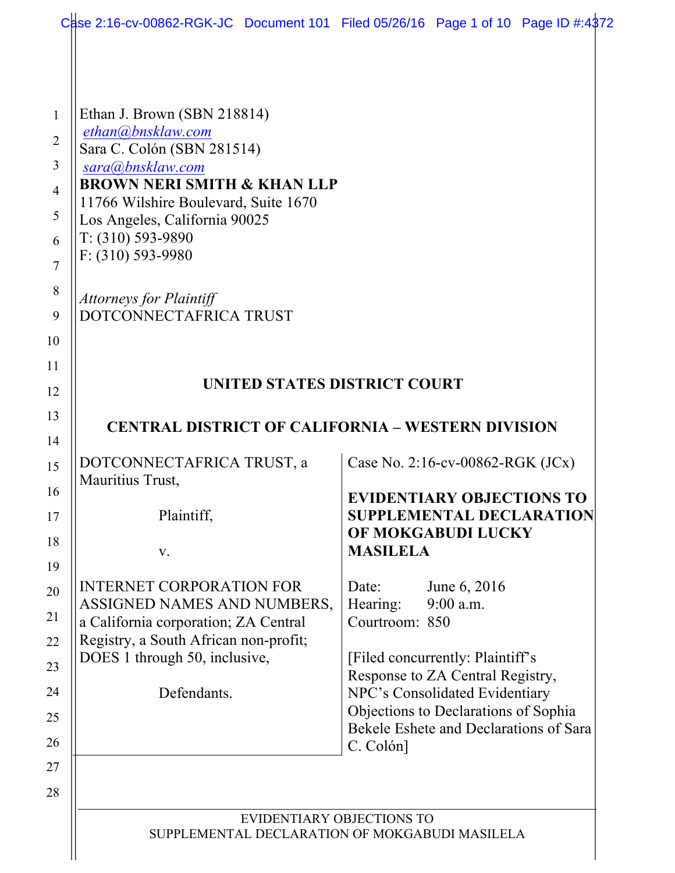| Case 2:16-cv-00862-RGK-JC Document 101 Filed 05/26/16 Page 1 of 10 Page ID #:4372 |                                                                                |
|-----------------------------------------------------------------------------------|--------------------------------------------------------------------------------|
|                                                                                   |                                                                                |
| Ethan J. Brown (SBN 218814)                                                       |                                                                                |
| ethan@bnsklaw.com                                                                 |                                                                                |
| Sara C. Colón (SBN 281514)                                                        |                                                                                |
| sara@bnsklaw.com<br><b>BROWN NERI SMITH &amp; KHAN LLP</b>                        |                                                                                |
| 11766 Wilshire Boulevard, Suite 1670                                              |                                                                                |
| Los Angeles, California 90025                                                     |                                                                                |
| T: (310) 593-9890                                                                 |                                                                                |
| $F: (310) 593 - 9980$                                                             |                                                                                |
| <b>Attorneys for Plaintiff</b>                                                    |                                                                                |
| DOTCONNECTAFRICA TRUST                                                            |                                                                                |
|                                                                                   |                                                                                |
|                                                                                   |                                                                                |
| UNITED STATES DISTRICT COURT                                                      |                                                                                |
|                                                                                   |                                                                                |
| <b>CENTRAL DISTRICT OF CALIFORNIA - WESTERN DIVISION</b>                          |                                                                                |
| DOTCONNECTAFRICA TRUST, a                                                         | Case No. 2:16-cv-00862-RGK (JCx)                                               |
| Mauritius Trust,                                                                  |                                                                                |
|                                                                                   | <b>EVIDENTIARY OBJECTIONS TO</b><br><b>SUPPLEMENTAL DECLARATION</b>            |
| Plaintiff,                                                                        | OF MOKGABUDI LUCKY                                                             |
| V.                                                                                | <b>MASILELA</b>                                                                |
|                                                                                   |                                                                                |
| <b>INTERNET CORPORATION FOR</b>                                                   | June 6, 2016<br>Date:                                                          |
| ASSIGNED NAMES AND NUMBERS,<br>a California corporation; ZA Central               | 9:00 a.m.<br>Hearing:<br>Courtroom: 850                                        |
| Registry, a South African non-profit;                                             |                                                                                |
| DOES 1 through 50, inclusive,                                                     | [Filed concurrently: Plaintiff's                                               |
|                                                                                   | Response to ZA Central Registry,                                               |
| Defendants.                                                                       | NPC's Consolidated Evidentiary                                                 |
|                                                                                   | Objections to Declarations of Sophia<br>Bekele Eshete and Declarations of Sara |
|                                                                                   | C. Colón]                                                                      |
|                                                                                   |                                                                                |
|                                                                                   |                                                                                |
|                                                                                   | EVIDENTIARY OBJECTIONS TO                                                      |
| SUPPLEMENTAL DECLARATION OF MOKGABUDI MASILELA                                    |                                                                                |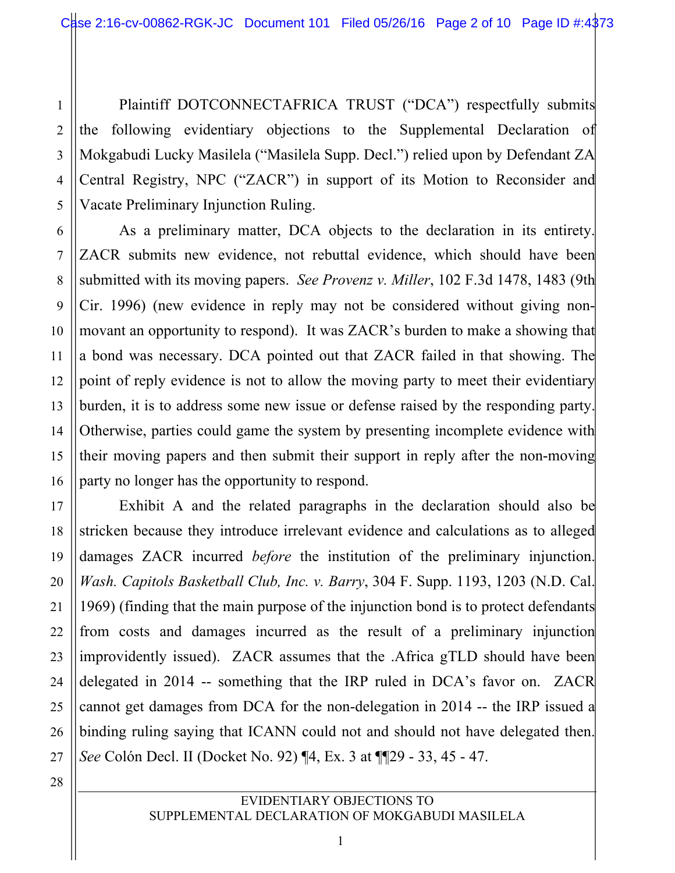Plaintiff DOTCONNECTAFRICA TRUST ("DCA") respectfully submits the following evidentiary objections to the Supplemental Declaration of Mokgabudi Lucky Masilela ("Masilela Supp. Decl.") relied upon by Defendant ZA Central Registry, NPC ("ZACR") in support of its Motion to Reconsider and Vacate Preliminary Injunction Ruling.

1

2

3

4

5

6

7

8

9

10

11

12

13

14

15

16

17

18

19

20

21

22

23

24

25

26

27

28

As a preliminary matter, DCA objects to the declaration in its entirety. ZACR submits new evidence, not rebuttal evidence, which should have been submitted with its moving papers. *See Provenz v. Miller*, 102 F.3d 1478, 1483 (9th Cir. 1996) (new evidence in reply may not be considered without giving nonmovant an opportunity to respond). It was ZACR's burden to make a showing that a bond was necessary. DCA pointed out that ZACR failed in that showing. The point of reply evidence is not to allow the moving party to meet their evidentiary burden, it is to address some new issue or defense raised by the responding party. Otherwise, parties could game the system by presenting incomplete evidence with their moving papers and then submit their support in reply after the non-moving party no longer has the opportunity to respond.

Exhibit A and the related paragraphs in the declaration should also be stricken because they introduce irrelevant evidence and calculations as to alleged damages ZACR incurred *before* the institution of the preliminary injunction. *Wash. Capitols Basketball Club, Inc. v. Barry*, 304 F. Supp. 1193, 1203 (N.D. Cal. 1969) (finding that the main purpose of the injunction bond is to protect defendants from costs and damages incurred as the result of a preliminary injunction improvidently issued). ZACR assumes that the .Africa gTLD should have been delegated in 2014 -- something that the IRP ruled in DCA's favor on. ZACR cannot get damages from DCA for the non-delegation in 2014 -- the IRP issued a binding ruling saying that ICANN could not and should not have delegated then. *See* Colón Decl. II (Docket No. 92) ¶4, Ex. 3 at ¶¶29 - 33, 45 - 47.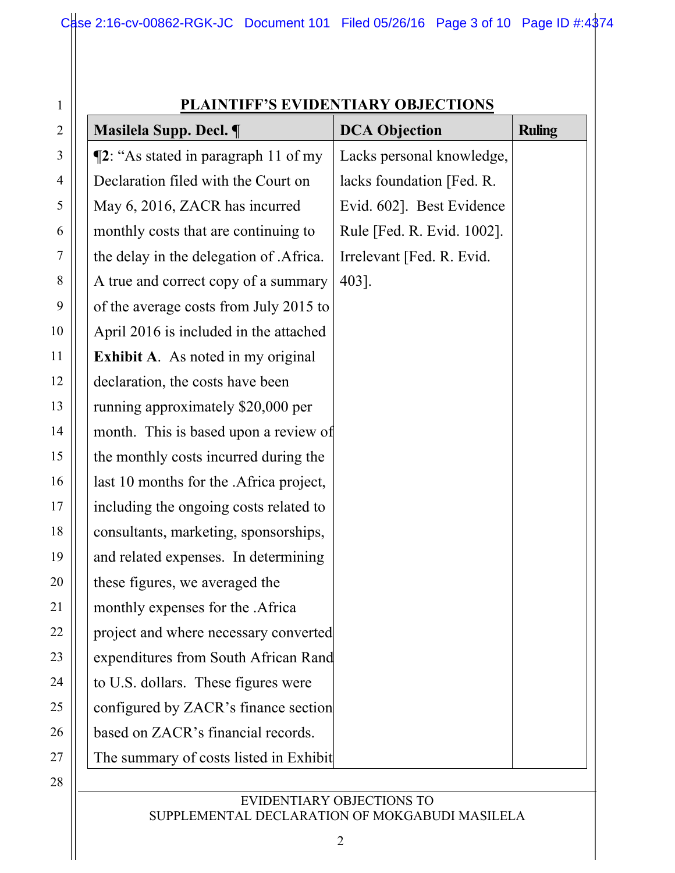| $\mathbf{1}$             |
|--------------------------|
| $\overline{c}$           |
| $\overline{3}$           |
| $\overline{\mathcal{A}}$ |
| 5                        |
| 6                        |
| 7                        |
| 8                        |
| 9                        |
| 10                       |
| 11                       |
| 12                       |
| 13                       |
| $\overline{14}$          |
| 15                       |
| 16                       |
| 17                       |
| 18                       |
| 19                       |
| 20                       |
| 21                       |
| $\mathcal{L}'$           |
| 23                       |
| 24                       |
| 25                       |
| 26                       |
| 27                       |
| 28                       |

# **PLAINTIFF'S EVIDENTIARY OBJECTIONS**

| Masilela Supp. Decl. ¶                    | <b>DCA Objection</b>       | <b>Ruling</b> |
|-------------------------------------------|----------------------------|---------------|
| $\P$ 2: "As stated in paragraph 11 of my  | Lacks personal knowledge,  |               |
| Declaration filed with the Court on       | lacks foundation [Fed. R.  |               |
| May 6, 2016, ZACR has incurred            | Evid. 602]. Best Evidence  |               |
| monthly costs that are continuing to      | Rule [Fed. R. Evid. 1002]. |               |
| the delay in the delegation of .Africa.   | Irrelevant [Fed. R. Evid.  |               |
| A true and correct copy of a summary      | 403].                      |               |
| of the average costs from July 2015 to    |                            |               |
| April 2016 is included in the attached    |                            |               |
| <b>Exhibit A.</b> As noted in my original |                            |               |
| declaration, the costs have been          |                            |               |
| running approximately \$20,000 per        |                            |               |
| month. This is based upon a review of     |                            |               |
| the monthly costs incurred during the     |                            |               |
| last 10 months for the .Africa project,   |                            |               |
| including the ongoing costs related to    |                            |               |
| consultants, marketing, sponsorships,     |                            |               |
| and related expenses. In determining      |                            |               |
| these figures, we averaged the            |                            |               |
| monthly expenses for the .Africa          |                            |               |
| project and where necessary converted     |                            |               |
| expenditures from South African Rand      |                            |               |
| to U.S. dollars. These figures were       |                            |               |
| configured by ZACR's finance section      |                            |               |
| based on ZACR's financial records.        |                            |               |
| The summary of costs listed in Exhibit    |                            |               |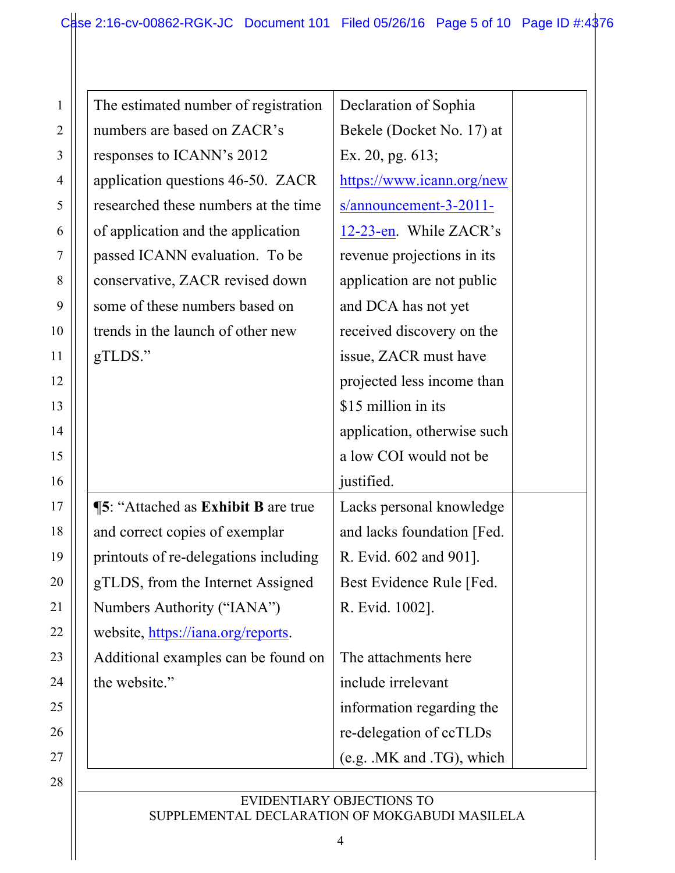| The estimated number of registration       | Declaration of Sophia       |
|--------------------------------------------|-----------------------------|
| numbers are based on ZACR's                | Bekele (Docket No. 17) at   |
| responses to ICANN's 2012                  | Ex. 20, pg. 613;            |
| application questions 46-50. ZACR          | https://www.icann.org/new   |
| researched these numbers at the time       | $s/announcement-3-2011-$    |
| of application and the application         | 12-23-en. While ZACR's      |
| passed ICANN evaluation. To be             | revenue projections in its  |
| conservative, ZACR revised down            | application are not public  |
| some of these numbers based on             | and DCA has not yet         |
| trends in the launch of other new          | received discovery on the   |
| gTLDS."                                    | issue, ZACR must have       |
|                                            | projected less income than  |
|                                            | \$15 million in its         |
|                                            | application, otherwise such |
|                                            | a low COI would not be      |
|                                            | justified.                  |
| <b>15: "Attached as Exhibit B are true</b> | Lacks personal knowledge    |
| and correct copies of exemplar             | and lacks foundation [Fed.] |
| printouts of re-delegations including      | R. Evid. 602 and 901].      |
| gTLDS, from the Internet Assigned          | Best Evidence Rule [Fed.    |
| Numbers Authority ("IANA")                 | R. Evid. 1002].             |
| website, https://iana.org/reports.         |                             |
| Additional examples can be found on        | The attachments here        |
| the website."                              | include irrelevant          |
|                                            | information regarding the   |
|                                            | re-delegation of ccTLDs     |
|                                            | (e.g. .MK and .TG), which   |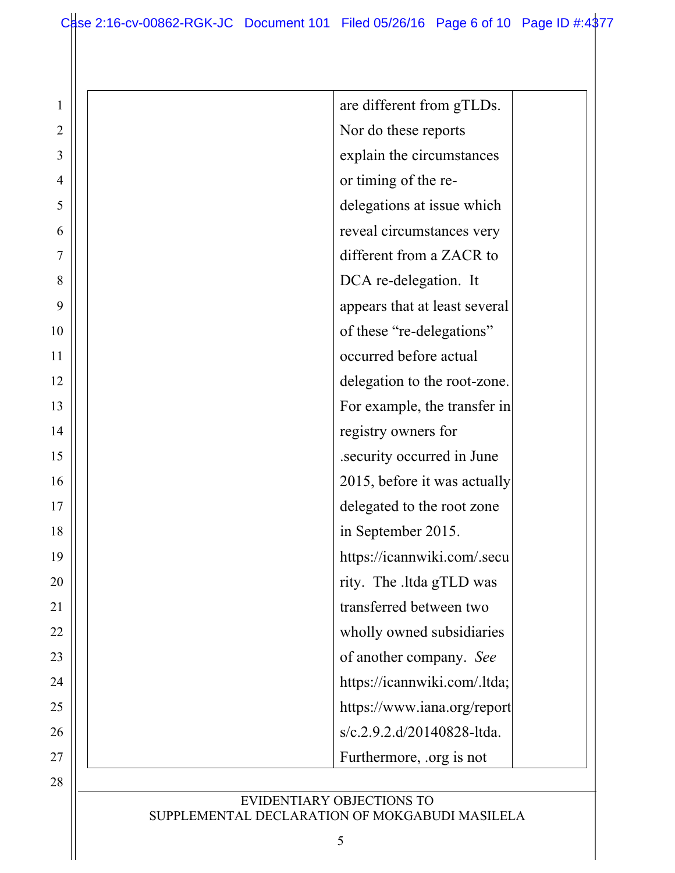| $\mathbf{1}$ | are different from gTLDs.     |
|--------------|-------------------------------|
| 2            | Nor do these reports          |
| 3            | explain the circumstances     |
| 4            | or timing of the re-          |
| 5            | delegations at issue which    |
| 6            | reveal circumstances very     |
| 7            | different from a ZACR to      |
| 8            | DCA re-delegation. It         |
| 9            | appears that at least several |
| 10           | of these "re-delegations"     |
| 11           | occurred before actual        |
| 12           | delegation to the root-zone.  |
| 13           | For example, the transfer in  |
| 14           | registry owners for           |
| 15           | security occurred in June.    |
| 16           | 2015, before it was actually  |
| 17           | delegated to the root zone    |
| 18           | in September 2015.            |
| 19           | https://icannwiki.com/.secu   |
| 20           | rity. The .ltda gTLD was      |
| 21           | transferred between two       |
| 22           | wholly owned subsidiaries     |
| 23           | of another company. See       |
| 24           | https://icannwiki.com/.ltda;  |
| 25           | https://www.iana.org/report   |
| 26           | s/c.2.9.2.d/20140828-ltda.    |
| 27           | Furthermore, org is not       |
| 28           |                               |
|              | EVIDENTIARY OBJECTIONS TO     |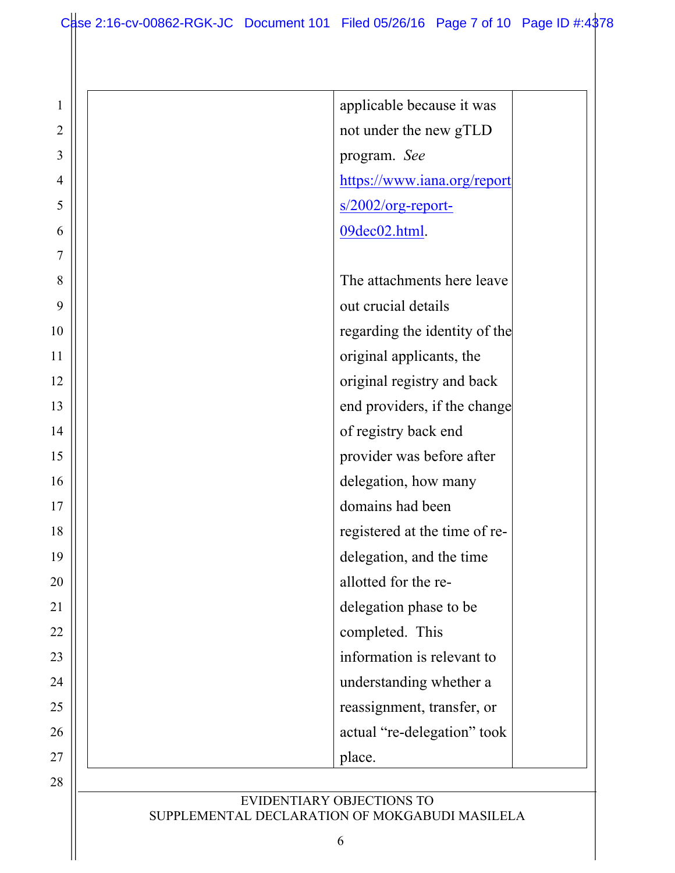| $\mathbf{1}$ |                                                                             | applicable because it was     |
|--------------|-----------------------------------------------------------------------------|-------------------------------|
| 2            |                                                                             | not under the new gTLD        |
| 3            |                                                                             | program. See                  |
| 4            |                                                                             | https://www.iana.org/report   |
| 5            |                                                                             | $s/2002/org$ -report-         |
| 6            |                                                                             | 09dec02.html.                 |
| 7            |                                                                             |                               |
| 8            |                                                                             | The attachments here leave    |
| 9            |                                                                             | out crucial details           |
| 10           |                                                                             | regarding the identity of the |
| 11           |                                                                             | original applicants, the      |
| 12           |                                                                             | original registry and back    |
| 13           |                                                                             | end providers, if the change  |
| 14           |                                                                             | of registry back end          |
| 15           |                                                                             | provider was before after     |
| 16           |                                                                             | delegation, how many          |
| 17           |                                                                             | domains had been              |
| 18           |                                                                             | registered at the time of re- |
| 19           |                                                                             | delegation, and the time      |
| 20           |                                                                             | allotted for the re-          |
| 21           |                                                                             | delegation phase to be        |
| 22           |                                                                             | completed. This               |
| 23           |                                                                             | information is relevant to    |
| 24           |                                                                             | understanding whether a       |
| 25           |                                                                             | reassignment, transfer, or    |
| 26           |                                                                             | actual "re-delegation" took   |
| 27           | place.                                                                      |                               |
| 28           |                                                                             |                               |
|              | EVIDENTIARY OBJECTIONS TO<br>SUPPLEMENTAL DECLARATION OF MOKGABUDI MASILELA |                               |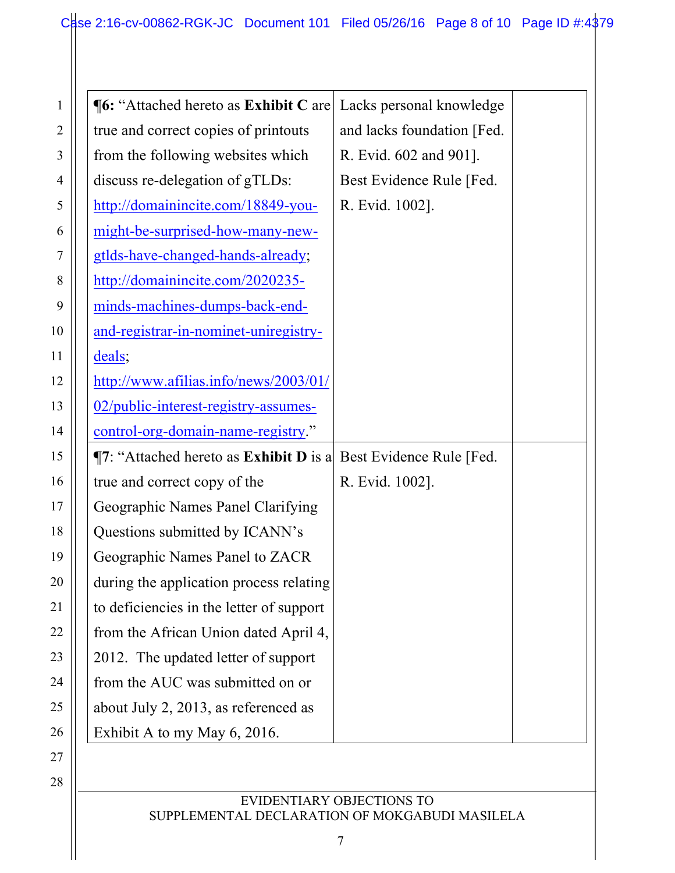1

2

3

4

5

6

7

8

9

10

11

12

13

14

15

16

17

18

19

20

21

22

23

24

25

26

27

28

| <b>¶6: "Attached hereto as Exhibit C are</b>                        | Lacks personal knowledge    |  |
|---------------------------------------------------------------------|-----------------------------|--|
| true and correct copies of printouts                                | and lacks foundation [Fed.] |  |
| from the following websites which                                   | R. Evid. 602 and 901].      |  |
| discuss re-delegation of gTLDs:                                     | Best Evidence Rule [Fed.]   |  |
| http://domainincite.com/18849-you-                                  | R. Evid. 1002].             |  |
| might-be-surprised-how-many-new-                                    |                             |  |
| gtlds-have-changed-hands-already;                                   |                             |  |
| http://domainincite.com/2020235-                                    |                             |  |
| minds-machines-dumps-back-end-                                      |                             |  |
| and-registrar-in-nominet-uniregistry-                               |                             |  |
| deals;                                                              |                             |  |
| http://www.afilias.info/news/2003/01/                               |                             |  |
| 02/public-interest-registry-assumes-                                |                             |  |
| control-org-domain-name-registry."                                  |                             |  |
| $\P$ 7: "Attached hereto as Exhibit D is a Best Evidence Rule [Fed. |                             |  |
| true and correct copy of the                                        | R. Evid. 1002].             |  |
| Geographic Names Panel Clarifying                                   |                             |  |
| Questions submitted by ICANN's                                      |                             |  |
| Geographic Names Panel to ZACR                                      |                             |  |
| during the application process relating                             |                             |  |
| to deficiencies in the letter of support                            |                             |  |
| from the African Union dated April 4,                               |                             |  |
| 2012. The updated letter of support                                 |                             |  |
| from the AUC was submitted on or                                    |                             |  |
| about July 2, 2013, as referenced as                                |                             |  |
|                                                                     |                             |  |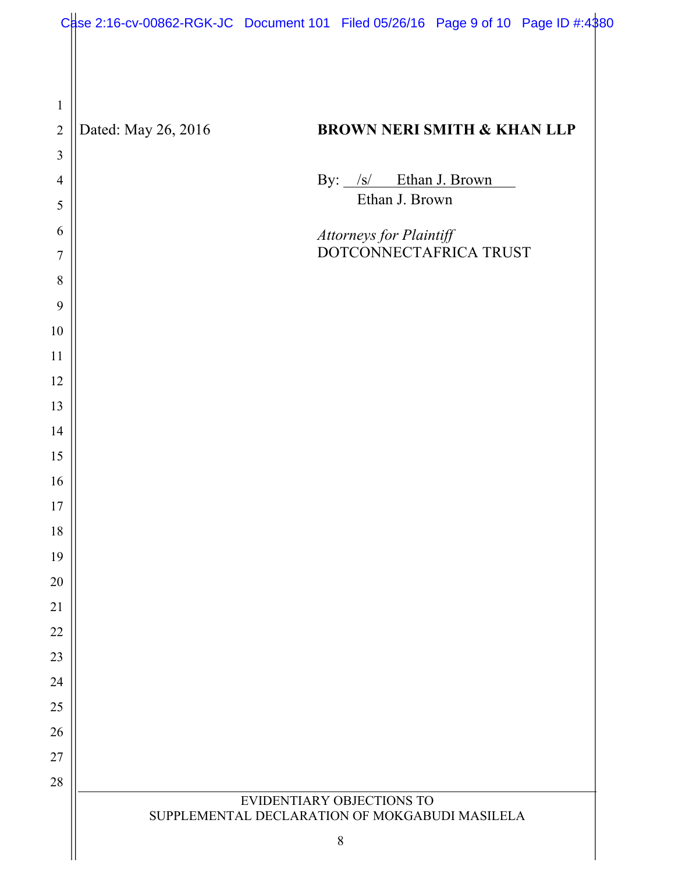|                |                     | Case 2:16-cv-00862-RGK-JC Document 101 Filed 05/26/16 Page 9 of 10 Page ID #:4\$80 |
|----------------|---------------------|------------------------------------------------------------------------------------|
|                |                     |                                                                                    |
|                |                     |                                                                                    |
| $\mathbf{1}$   |                     |                                                                                    |
| $\overline{2}$ | Dated: May 26, 2016 | <b>BROWN NERI SMITH &amp; KHAN LLP</b>                                             |
| 3              |                     |                                                                                    |
| $\overline{4}$ |                     | By: /s/ Ethan J. Brown                                                             |
| 5              |                     | Ethan J. Brown                                                                     |
| 6              |                     | Attorneys for Plaintiff<br>DOTCONNECTAFRICA TRUST                                  |
| 7              |                     |                                                                                    |
| 8<br>9         |                     |                                                                                    |
| 10             |                     |                                                                                    |
| 11             |                     |                                                                                    |
| 12             |                     |                                                                                    |
| 13             |                     |                                                                                    |
| 14             |                     |                                                                                    |
| 15             |                     |                                                                                    |
| 16             |                     |                                                                                    |
| 17             |                     |                                                                                    |
| 18             |                     |                                                                                    |
| 19             |                     |                                                                                    |
| 20             |                     |                                                                                    |
| 21             |                     |                                                                                    |
| 22<br>23       |                     |                                                                                    |
| 24             |                     |                                                                                    |
| 25             |                     |                                                                                    |
| 26             |                     |                                                                                    |
| 27             |                     |                                                                                    |
| 28             |                     |                                                                                    |
|                |                     | EVIDENTIARY OBJECTIONS TO<br>SUPPLEMENTAL DECLARATION OF MOKGABUDI MASILELA        |
|                |                     | $8\,$                                                                              |
|                |                     |                                                                                    |